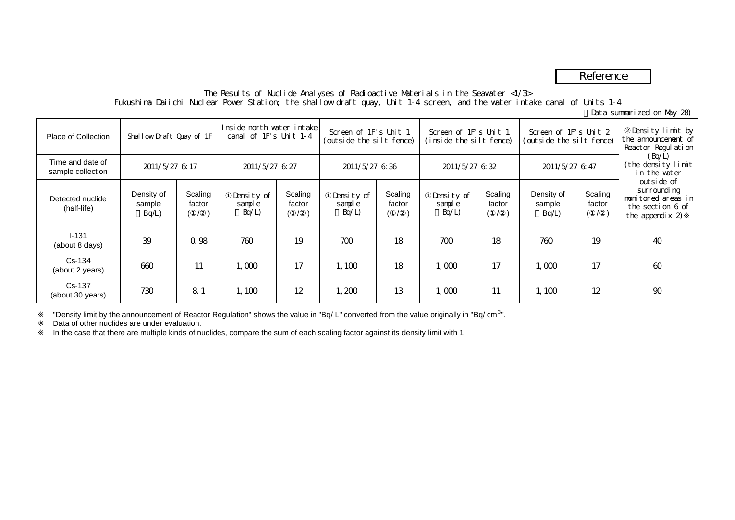# Reference

## The Results of Nuclide Analyses of Radioactive Materials in the Seawater <1/3> Fukushima Daiichi Nuclear Power Station; the shallow draft quay, Unit 1-4 screen, and the water intake canal of Units 1-4

(Data summarized on May 28)

| <b>Place of Collection</b>            | Shallow Draft Quay of 1F         |                   | Inside north water intakel<br>canal of 1F's Unit 1-4 |                   | Screen of 1F's Unit 1<br>(outside the silt fence) |                                 | Screen of 1F's Unit 1<br>(inside the silt fence) |                   | Screen of 1F's Unit 2<br>(outside the silt fence) |                   | Density limit by<br>the announcement of<br>Reactor Regulation                           |
|---------------------------------------|----------------------------------|-------------------|------------------------------------------------------|-------------------|---------------------------------------------------|---------------------------------|--------------------------------------------------|-------------------|---------------------------------------------------|-------------------|-----------------------------------------------------------------------------------------|
| Time and date of<br>sample collection | 2011/5/27 6:17                   |                   | 2011/5/27 6 27                                       |                   | 2011/5/27 6 36                                    |                                 | 2011/5/27 6 32                                   |                   | 2011/5/27 6:47                                    |                   | (Bq/L)<br>(the density limit<br>in the water                                            |
| Detected nuclide<br>(half-life)       | Density of<br>sample<br>$Bq/L$ ) | Scaling<br>factor | Density of<br>sample<br>Bq/L                         | Scaling<br>factor | Density of<br>sample<br>Bq/L                      | Scaling<br>factor<br>$\sqrt{2}$ | Density of<br>sample<br>Bq/L                     | Scaling<br>factor | Density of<br>sample<br>Bq/L)                     | Scaling<br>factor | outside of<br>surrounding<br>nonitored areas in<br>the section 6 of<br>the appendix $2$ |
| $I - 131$<br>(about 8 days)           | 39                               | Q 98              | 760                                                  | 19                | 700                                               | 18                              | 700                                              | 18                | 760                                               | 19                | 40                                                                                      |
| Cs-134<br>(about 2 years)             | 660                              | 11                | 1,000                                                | 17                | 1,100                                             | 18                              | 1,000                                            | 17                | 1,000                                             | 17                | $\omega$                                                                                |
| Cs-137<br>(about 30 years)            | 730                              | 81                | 1,100                                                | 12                | 1,200                                             | 13                              | 1,000                                            | 11                | 1,100                                             | 12                | 90                                                                                      |

"Density limit by the announcement of Reactor Regulation" shows the value in "Bq/ L" converted from the value originally in "Bq/ cm<sup>3</sup>".

Data of other nuclides are under evaluation.

In the case that there are multiple kinds of nuclides, compare the sum of each scaling factor against its density limit with 1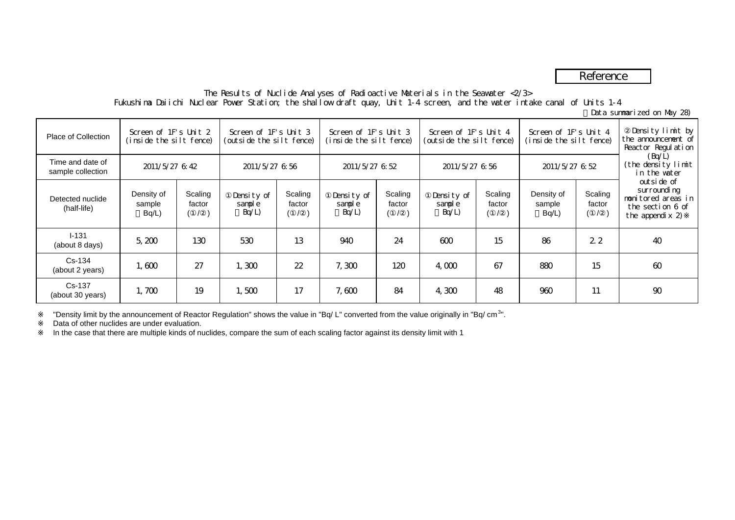# Reference

### The Results of Nuclide Analyses of Radioactive Materials in the Seawater <2/3> Fukushima Daiichi Nuclear Power Station; the shallow draft quay, Unit 1-4 screen, and the water intake canal of Units 1-4

(Data summarized on May 28)

| Place of Collection                   | Screen of 1F's Unit 2<br>(inside the slit fence)<br>2011/5/27 6:42 |                   | Screen of 1F's Unit 3<br>(outside the silt fence)<br>2011/5/27 6 56 |                   | Screen of 1F's Unit 3<br>(inside the silt fence)<br>2011/5/27 6 52 |                   | Screen of 1F's Unit 4<br>(outside the silt fence)<br>2011/5/27 6 56 |                   | Screen of 1F's Unit 4<br>(inside the silt fence)<br>2011/5/27 6 52 |                   | Density limit by<br>the announcement of<br>Reactor Regulation<br>(Bq/L)<br>(the density limit<br>in the water |
|---------------------------------------|--------------------------------------------------------------------|-------------------|---------------------------------------------------------------------|-------------------|--------------------------------------------------------------------|-------------------|---------------------------------------------------------------------|-------------------|--------------------------------------------------------------------|-------------------|---------------------------------------------------------------------------------------------------------------|
| Time and date of<br>sample collection |                                                                    |                   |                                                                     |                   |                                                                    |                   |                                                                     |                   |                                                                    |                   |                                                                                                               |
| Detected nuclide<br>(half-life)       | Density of<br>sample<br>Bq/L                                       | Scaling<br>factor | Density of<br>sample<br>Bq/L                                        | Scaling<br>factor | Density of<br>sample<br>Bq/L                                       | Scaling<br>factor | Density of<br>sample<br>Bq/L                                        | Scaling<br>factor | Density of<br>sample<br>$Bq/L$ )                                   | Scaling<br>factor | outside of<br>surrounding<br>nonitored areas in<br>the section 6 of<br>the appendix $2$                       |
| $I - 131$<br>(about 8 days)           | 5,200                                                              | 130               | 530                                                                 | 13                | 940                                                                | 24                | 600                                                                 | 15                | 86                                                                 | 22                | 40                                                                                                            |
| Cs-134<br>(about 2 years)             | 1,600                                                              | 27                | 1,300                                                               | 22                | 7,300                                                              | 120               | 4.000                                                               | 67                | 880                                                                | 15                | $\omega$                                                                                                      |
| Cs-137<br>(about 30 years)            | 1,700                                                              | 19                | 1,500                                                               | 17                | 7,600                                                              | 84                | 4,300                                                               | 48                | 960                                                                | 11                | 90                                                                                                            |

"Density limit by the announcement of Reactor Regulation" shows the value in "Bq/ L" converted from the value originally in "Bq/ cm<sup>3</sup>".

Data of other nuclides are under evaluation.

In the case that there are multiple kinds of nuclides, compare the sum of each scaling factor against its density limit with 1